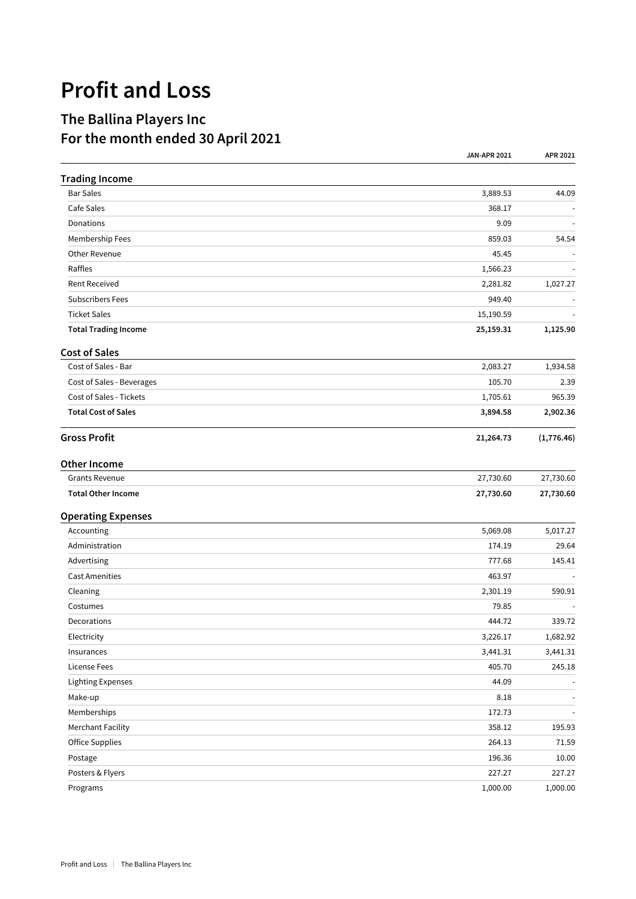## **Profit and Loss**

## **The Ballina Players Inc For the month ended 30 April 2021**

|                             | <b>JAN-APR 2021</b> | APR 2021   |
|-----------------------------|---------------------|------------|
| <b>Trading Income</b>       |                     |            |
| <b>Bar Sales</b>            | 3,889.53            | 44.09      |
| Cafe Sales                  | 368.17              |            |
| Donations                   | 9.09                |            |
| Membership Fees             | 859.03              | 54.54      |
| Other Revenue               | 45.45               |            |
| Raffles                     | 1,566.23            |            |
| <b>Rent Received</b>        | 2,281.82            | 1,027.27   |
| <b>Subscribers Fees</b>     | 949.40              |            |
| <b>Ticket Sales</b>         | 15,190.59           |            |
| <b>Total Trading Income</b> | 25,159.31           | 1,125.90   |
| <b>Cost of Sales</b>        |                     |            |
| Cost of Sales - Bar         | 2,083.27            | 1,934.58   |
| Cost of Sales - Beverages   | 105.70              | 2.39       |
| Cost of Sales - Tickets     | 1,705.61            | 965.39     |
| <b>Total Cost of Sales</b>  | 3,894.58            | 2,902.36   |
| <b>Gross Profit</b>         | 21,264.73           | (1,776.46) |
| Other Income                |                     |            |
| <b>Grants Revenue</b>       | 27,730.60           | 27,730.60  |
| <b>Total Other Income</b>   | 27,730.60           | 27,730.60  |
| <b>Operating Expenses</b>   |                     |            |
| Accounting                  | 5,069.08            | 5,017.27   |
| Administration              | 174.19              | 29.64      |
| Advertising                 | 777.68              | 145.41     |
| <b>Cast Amenities</b>       | 463.97              |            |
| Cleaning                    | 2,301.19            | 590.91     |
| Costumes                    | 79.85               |            |
| Decorations                 | 444.72              | 339.72     |
| Electricity                 | 3,226.17            | 1,682.92   |
| Insurances                  | 3,441.31            | 3,441.31   |
| License Fees                | 405.70              | 245.18     |
| Lighting Expenses           | 44.09               |            |
| Make-up                     | 8.18                |            |
| Memberships                 | 172.73              |            |
| <b>Merchant Facility</b>    | 358.12              | 195.93     |
| <b>Office Supplies</b>      | 264.13              | 71.59      |
| Postage                     | 196.36              | 10.00      |
| Posters & Flyers            | 227.27              | 227.27     |
| Programs                    | 1,000.00            | 1,000.00   |